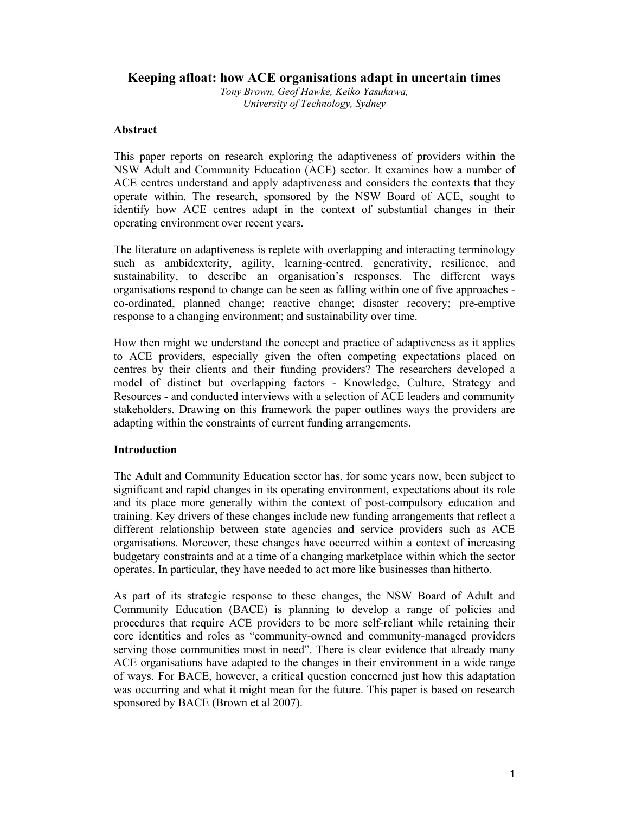# **Keeping afloat: how ACE organisations adapt in uncertain times**

*Tony Brown, Geof Hawke, Keiko Yasukawa, University of Technology, Sydney* 

## **Abstract**

This paper reports on research exploring the adaptiveness of providers within the NSW Adult and Community Education (ACE) sector. It examines how a number of ACE centres understand and apply adaptiveness and considers the contexts that they operate within. The research, sponsored by the NSW Board of ACE, sought to identify how ACE centres adapt in the context of substantial changes in their operating environment over recent years.

The literature on adaptiveness is replete with overlapping and interacting terminology such as ambidexterity, agility, learning-centred, generativity, resilience, and sustainability, to describe an organisation's responses. The different ways organisations respond to change can be seen as falling within one of five approaches co-ordinated, planned change; reactive change; disaster recovery; pre-emptive response to a changing environment; and sustainability over time.

How then might we understand the concept and practice of adaptiveness as it applies to ACE providers, especially given the often competing expectations placed on centres by their clients and their funding providers? The researchers developed a model of distinct but overlapping factors - Knowledge, Culture, Strategy and Resources - and conducted interviews with a selection of ACE leaders and community stakeholders. Drawing on this framework the paper outlines ways the providers are adapting within the constraints of current funding arrangements.

## **Introduction**

The Adult and Community Education sector has, for some years now, been subject to significant and rapid changes in its operating environment, expectations about its role and its place more generally within the context of post-compulsory education and training. Key drivers of these changes include new funding arrangements that reflect a different relationship between state agencies and service providers such as ACE organisations. Moreover, these changes have occurred within a context of increasing budgetary constraints and at a time of a changing marketplace within which the sector operates. In particular, they have needed to act more like businesses than hitherto.

As part of its strategic response to these changes, the NSW Board of Adult and Community Education (BACE) is planning to develop a range of policies and procedures that require ACE providers to be more self-reliant while retaining their core identities and roles as "community-owned and community-managed providers serving those communities most in need". There is clear evidence that already many ACE organisations have adapted to the changes in their environment in a wide range of ways. For BACE, however, a critical question concerned just how this adaptation was occurring and what it might mean for the future. This paper is based on research sponsored by BACE (Brown et al 2007).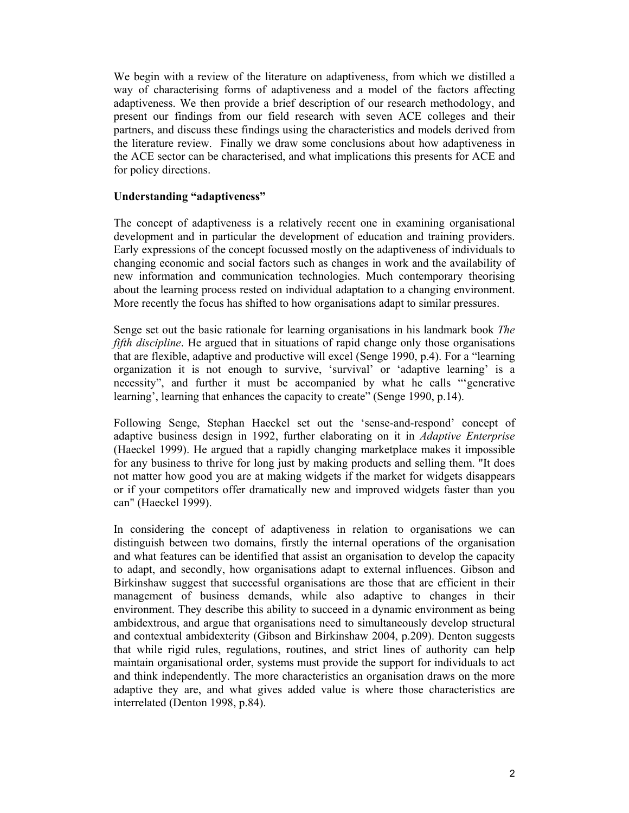We begin with a review of the literature on adaptiveness, from which we distilled a way of characterising forms of adaptiveness and a model of the factors affecting adaptiveness. We then provide a brief description of our research methodology, and present our findings from our field research with seven ACE colleges and their partners, and discuss these findings using the characteristics and models derived from the literature review. Finally we draw some conclusions about how adaptiveness in the ACE sector can be characterised, and what implications this presents for ACE and for policy directions.

## **Understanding "adaptiveness"**

The concept of adaptiveness is a relatively recent one in examining organisational development and in particular the development of education and training providers. Early expressions of the concept focussed mostly on the adaptiveness of individuals to changing economic and social factors such as changes in work and the availability of new information and communication technologies. Much contemporary theorising about the learning process rested on individual adaptation to a changing environment. More recently the focus has shifted to how organisations adapt to similar pressures.

Senge set out the basic rationale for learning organisations in his landmark book *The fifth discipline*. He argued that in situations of rapid change only those organisations that are flexible, adaptive and productive will excel (Senge 1990, p.4). For a "learning organization it is not enough to survive, 'survival' or 'adaptive learning' is a necessity", and further it must be accompanied by what he calls "'generative learning', learning that enhances the capacity to create" (Senge 1990, p.14).

Following Senge, Stephan Haeckel set out the 'sense-and-respond' concept of adaptive business design in 1992, further elaborating on it in *Adaptive Enterprise* (Haeckel 1999). He argued that a rapidly changing marketplace makes it impossible for any business to thrive for long just by making products and selling them. "It does not matter how good you are at making widgets if the market for widgets disappears or if your competitors offer dramatically new and improved widgets faster than you can" (Haeckel 1999).

In considering the concept of adaptiveness in relation to organisations we can distinguish between two domains, firstly the internal operations of the organisation and what features can be identified that assist an organisation to develop the capacity to adapt, and secondly, how organisations adapt to external influences. Gibson and Birkinshaw suggest that successful organisations are those that are efficient in their management of business demands, while also adaptive to changes in their environment. They describe this ability to succeed in a dynamic environment as being ambidextrous, and argue that organisations need to simultaneously develop structural and contextual ambidexterity (Gibson and Birkinshaw 2004, p.209). Denton suggests that while rigid rules, regulations, routines, and strict lines of authority can help maintain organisational order, systems must provide the support for individuals to act and think independently. The more characteristics an organisation draws on the more adaptive they are, and what gives added value is where those characteristics are interrelated (Denton 1998, p.84).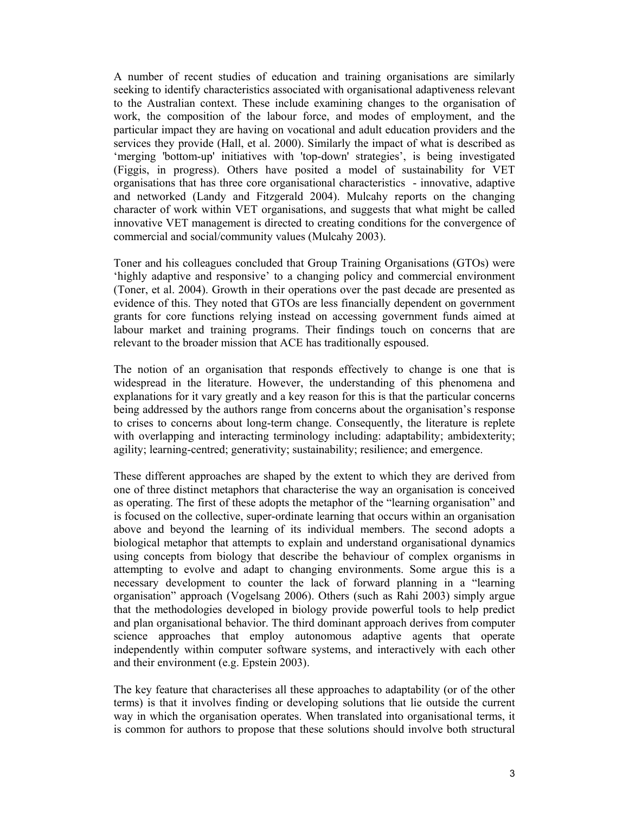A number of recent studies of education and training organisations are similarly seeking to identify characteristics associated with organisational adaptiveness relevant to the Australian context. These include examining changes to the organisation of work, the composition of the labour force, and modes of employment, and the particular impact they are having on vocational and adult education providers and the services they provide (Hall, et al. 2000). Similarly the impact of what is described as 'merging 'bottom-up' initiatives with 'top-down' strategies', is being investigated (Figgis, in progress). Others have posited a model of sustainability for VET organisations that has three core organisational characteristics - innovative, adaptive and networked (Landy and Fitzgerald 2004). Mulcahy reports on the changing character of work within VET organisations, and suggests that what might be called innovative VET management is directed to creating conditions for the convergence of commercial and social/community values (Mulcahy 2003).

Toner and his colleagues concluded that Group Training Organisations (GTOs) were 'highly adaptive and responsive' to a changing policy and commercial environment (Toner, et al. 2004). Growth in their operations over the past decade are presented as evidence of this. They noted that GTOs are less financially dependent on government grants for core functions relying instead on accessing government funds aimed at labour market and training programs. Their findings touch on concerns that are relevant to the broader mission that ACE has traditionally espoused.

The notion of an organisation that responds effectively to change is one that is widespread in the literature. However, the understanding of this phenomena and explanations for it vary greatly and a key reason for this is that the particular concerns being addressed by the authors range from concerns about the organisation's response to crises to concerns about long-term change. Consequently, the literature is replete with overlapping and interacting terminology including: adaptability; ambidexterity; agility; learning-centred; generativity; sustainability; resilience; and emergence.

These different approaches are shaped by the extent to which they are derived from one of three distinct metaphors that characterise the way an organisation is conceived as operating. The first of these adopts the metaphor of the "learning organisation" and is focused on the collective, super-ordinate learning that occurs within an organisation above and beyond the learning of its individual members. The second adopts a biological metaphor that attempts to explain and understand organisational dynamics using concepts from biology that describe the behaviour of complex organisms in attempting to evolve and adapt to changing environments. Some argue this is a necessary development to counter the lack of forward planning in a "learning organisation" approach (Vogelsang 2006). Others (such as Rahi 2003) simply argue that the methodologies developed in biology provide powerful tools to help predict and plan organisational behavior. The third dominant approach derives from computer science approaches that employ autonomous adaptive agents that operate independently within computer software systems, and interactively with each other and their environment (e.g. Epstein 2003).

The key feature that characterises all these approaches to adaptability (or of the other terms) is that it involves finding or developing solutions that lie outside the current way in which the organisation operates. When translated into organisational terms, it is common for authors to propose that these solutions should involve both structural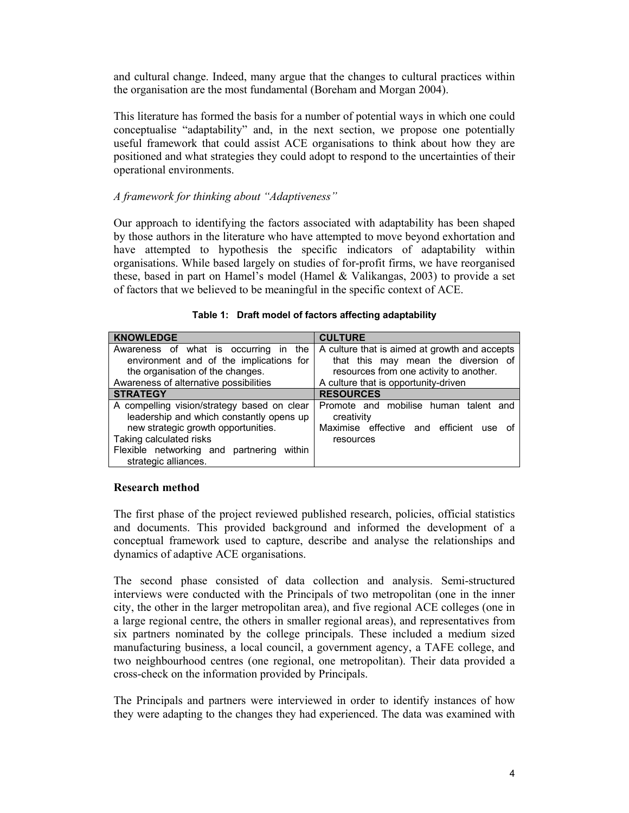and cultural change. Indeed, many argue that the changes to cultural practices within the organisation are the most fundamental (Boreham and Morgan 2004).

This literature has formed the basis for a number of potential ways in which one could conceptualise "adaptability" and, in the next section, we propose one potentially useful framework that could assist ACE organisations to think about how they are positioned and what strategies they could adopt to respond to the uncertainties of their operational environments.

## *A framework for thinking about "Adaptiveness"*

Our approach to identifying the factors associated with adaptability has been shaped by those authors in the literature who have attempted to move beyond exhortation and have attempted to hypothesis the specific indicators of adaptability within organisations. While based largely on studies of for-profit firms, we have reorganised these, based in part on Hamel's model (Hamel & Valikangas, 2003) to provide a set of factors that we believed to be meaningful in the specific context of ACE.

| <b>KNOWLEDGE</b>                             | <b>CULTURE</b>                                |
|----------------------------------------------|-----------------------------------------------|
|                                              |                                               |
| Awareness of what is occurring in the        | A culture that is aimed at growth and accepts |
| environment and of the implications for      | that this may mean the diversion of           |
| the organisation of the changes.             | resources from one activity to another.       |
| Awareness of alternative possibilities       | A culture that is opportunity-driven          |
| <b>STRATEGY</b>                              | <b>RESOURCES</b>                              |
| A compelling vision/strategy based on clear  | Promote and mobilise human talent and         |
| leadership and which constantly opens up     | creativity                                    |
| new strategic growth opportunities.          | Maximise effective and efficient<br>use<br>Ωt |
| Taking calculated risks                      | resources                                     |
| Flexible networking and partnering<br>within |                                               |
| strategic alliances.                         |                                               |

**Table 1: Draft model of factors affecting adaptability** 

## **Research method**

The first phase of the project reviewed published research, policies, official statistics and documents. This provided background and informed the development of a conceptual framework used to capture, describe and analyse the relationships and dynamics of adaptive ACE organisations.

The second phase consisted of data collection and analysis. Semi-structured interviews were conducted with the Principals of two metropolitan (one in the inner city, the other in the larger metropolitan area), and five regional ACE colleges (one in a large regional centre, the others in smaller regional areas), and representatives from six partners nominated by the college principals. These included a medium sized manufacturing business, a local council, a government agency, a TAFE college, and two neighbourhood centres (one regional, one metropolitan). Their data provided a cross-check on the information provided by Principals.

The Principals and partners were interviewed in order to identify instances of how they were adapting to the changes they had experienced. The data was examined with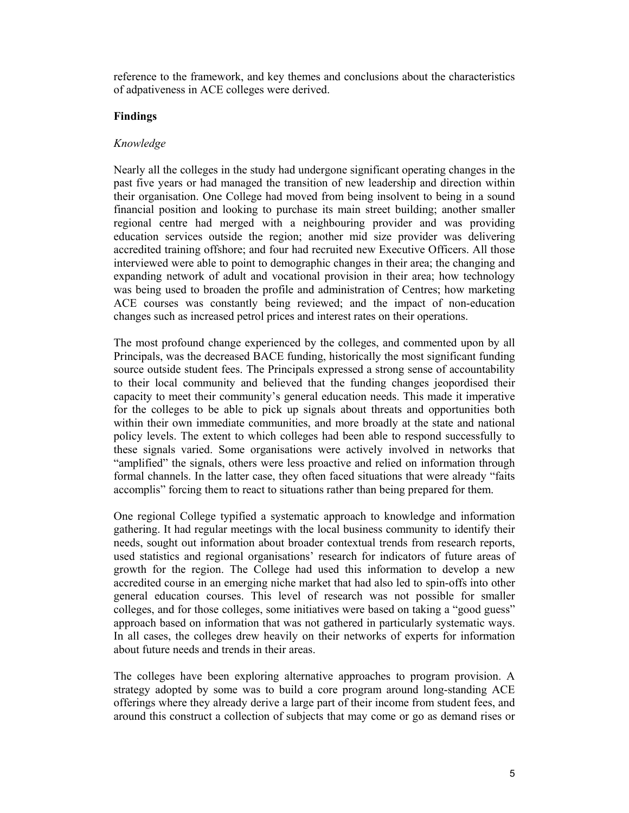reference to the framework, and key themes and conclusions about the characteristics of adpativeness in ACE colleges were derived.

## **Findings**

## *Knowledge*

Nearly all the colleges in the study had undergone significant operating changes in the past five years or had managed the transition of new leadership and direction within their organisation. One College had moved from being insolvent to being in a sound financial position and looking to purchase its main street building; another smaller regional centre had merged with a neighbouring provider and was providing education services outside the region; another mid size provider was delivering accredited training offshore; and four had recruited new Executive Officers. All those interviewed were able to point to demographic changes in their area; the changing and expanding network of adult and vocational provision in their area; how technology was being used to broaden the profile and administration of Centres; how marketing ACE courses was constantly being reviewed; and the impact of non-education changes such as increased petrol prices and interest rates on their operations.

The most profound change experienced by the colleges, and commented upon by all Principals, was the decreased BACE funding, historically the most significant funding source outside student fees. The Principals expressed a strong sense of accountability to their local community and believed that the funding changes jeopordised their capacity to meet their community's general education needs. This made it imperative for the colleges to be able to pick up signals about threats and opportunities both within their own immediate communities, and more broadly at the state and national policy levels. The extent to which colleges had been able to respond successfully to these signals varied. Some organisations were actively involved in networks that "amplified" the signals, others were less proactive and relied on information through formal channels. In the latter case, they often faced situations that were already "faits accomplis" forcing them to react to situations rather than being prepared for them.

One regional College typified a systematic approach to knowledge and information gathering. It had regular meetings with the local business community to identify their needs, sought out information about broader contextual trends from research reports, used statistics and regional organisations' research for indicators of future areas of growth for the region. The College had used this information to develop a new accredited course in an emerging niche market that had also led to spin-offs into other general education courses. This level of research was not possible for smaller colleges, and for those colleges, some initiatives were based on taking a "good guess" approach based on information that was not gathered in particularly systematic ways. In all cases, the colleges drew heavily on their networks of experts for information about future needs and trends in their areas.

The colleges have been exploring alternative approaches to program provision. A strategy adopted by some was to build a core program around long-standing ACE offerings where they already derive a large part of their income from student fees, and around this construct a collection of subjects that may come or go as demand rises or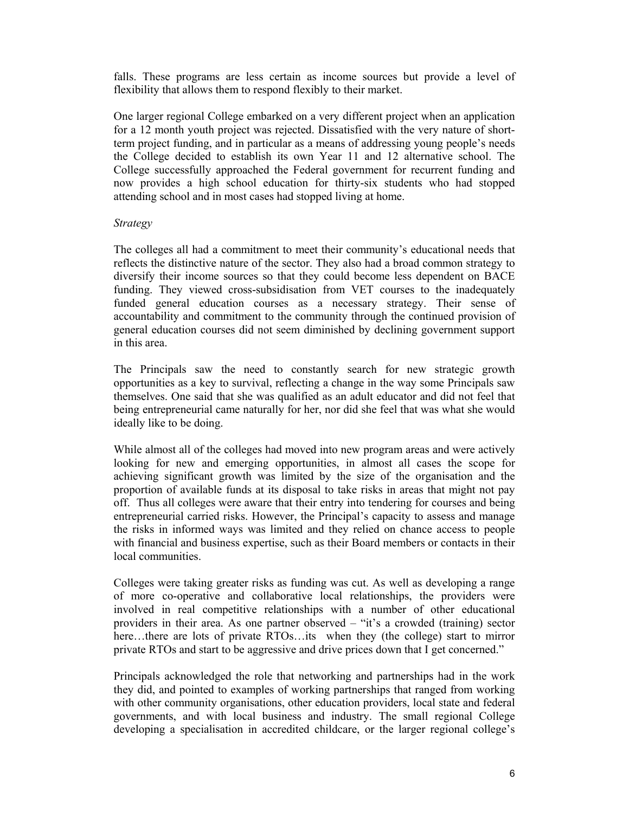falls. These programs are less certain as income sources but provide a level of flexibility that allows them to respond flexibly to their market.

One larger regional College embarked on a very different project when an application for a 12 month youth project was rejected. Dissatisfied with the very nature of shortterm project funding, and in particular as a means of addressing young people's needs the College decided to establish its own Year 11 and 12 alternative school. The College successfully approached the Federal government for recurrent funding and now provides a high school education for thirty-six students who had stopped attending school and in most cases had stopped living at home.

## *Strategy*

The colleges all had a commitment to meet their community's educational needs that reflects the distinctive nature of the sector. They also had a broad common strategy to diversify their income sources so that they could become less dependent on BACE funding. They viewed cross-subsidisation from VET courses to the inadequately funded general education courses as a necessary strategy. Their sense of accountability and commitment to the community through the continued provision of general education courses did not seem diminished by declining government support in this area.

The Principals saw the need to constantly search for new strategic growth opportunities as a key to survival, reflecting a change in the way some Principals saw themselves. One said that she was qualified as an adult educator and did not feel that being entrepreneurial came naturally for her, nor did she feel that was what she would ideally like to be doing.

While almost all of the colleges had moved into new program areas and were actively looking for new and emerging opportunities, in almost all cases the scope for achieving significant growth was limited by the size of the organisation and the proportion of available funds at its disposal to take risks in areas that might not pay off. Thus all colleges were aware that their entry into tendering for courses and being entrepreneurial carried risks. However, the Principal's capacity to assess and manage the risks in informed ways was limited and they relied on chance access to people with financial and business expertise, such as their Board members or contacts in their local communities.

Colleges were taking greater risks as funding was cut. As well as developing a range of more co-operative and collaborative local relationships, the providers were involved in real competitive relationships with a number of other educational providers in their area. As one partner observed – "it's a crowded (training) sector here...there are lots of private RTOs...its when they (the college) start to mirror private RTOs and start to be aggressive and drive prices down that I get concerned."

Principals acknowledged the role that networking and partnerships had in the work they did, and pointed to examples of working partnerships that ranged from working with other community organisations, other education providers, local state and federal governments, and with local business and industry. The small regional College developing a specialisation in accredited childcare, or the larger regional college's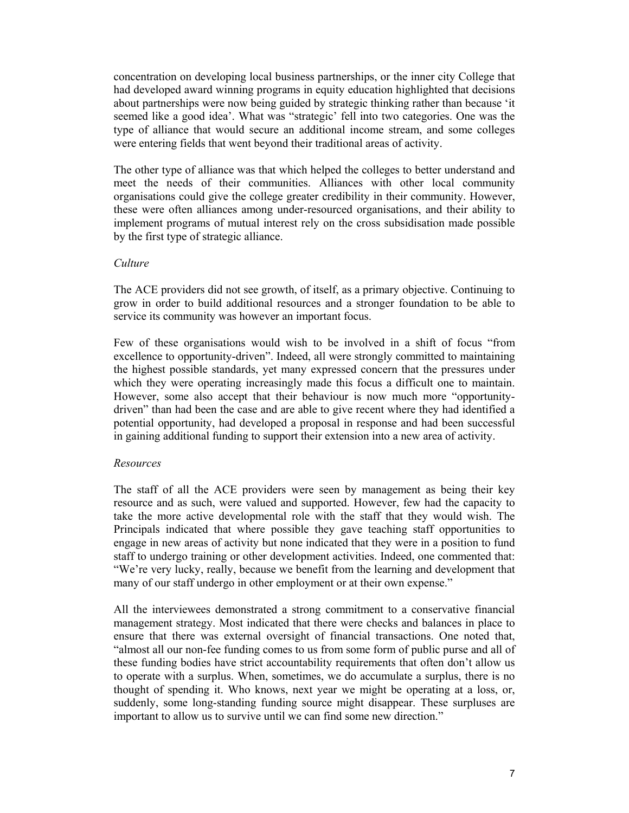concentration on developing local business partnerships, or the inner city College that had developed award winning programs in equity education highlighted that decisions about partnerships were now being guided by strategic thinking rather than because 'it seemed like a good idea'. What was "strategic' fell into two categories. One was the type of alliance that would secure an additional income stream, and some colleges were entering fields that went beyond their traditional areas of activity.

The other type of alliance was that which helped the colleges to better understand and meet the needs of their communities. Alliances with other local community organisations could give the college greater credibility in their community. However, these were often alliances among under-resourced organisations, and their ability to implement programs of mutual interest rely on the cross subsidisation made possible by the first type of strategic alliance.

#### *Culture*

The ACE providers did not see growth, of itself, as a primary objective. Continuing to grow in order to build additional resources and a stronger foundation to be able to service its community was however an important focus.

Few of these organisations would wish to be involved in a shift of focus "from excellence to opportunity-driven". Indeed, all were strongly committed to maintaining the highest possible standards, yet many expressed concern that the pressures under which they were operating increasingly made this focus a difficult one to maintain. However, some also accept that their behaviour is now much more "opportunitydriven" than had been the case and are able to give recent where they had identified a potential opportunity, had developed a proposal in response and had been successful in gaining additional funding to support their extension into a new area of activity.

## *Resources*

The staff of all the ACE providers were seen by management as being their key resource and as such, were valued and supported. However, few had the capacity to take the more active developmental role with the staff that they would wish. The Principals indicated that where possible they gave teaching staff opportunities to engage in new areas of activity but none indicated that they were in a position to fund staff to undergo training or other development activities. Indeed, one commented that: "We're very lucky, really, because we benefit from the learning and development that many of our staff undergo in other employment or at their own expense."

All the interviewees demonstrated a strong commitment to a conservative financial management strategy. Most indicated that there were checks and balances in place to ensure that there was external oversight of financial transactions. One noted that, "almost all our non-fee funding comes to us from some form of public purse and all of these funding bodies have strict accountability requirements that often don't allow us to operate with a surplus. When, sometimes, we do accumulate a surplus, there is no thought of spending it. Who knows, next year we might be operating at a loss, or, suddenly, some long-standing funding source might disappear. These surpluses are important to allow us to survive until we can find some new direction."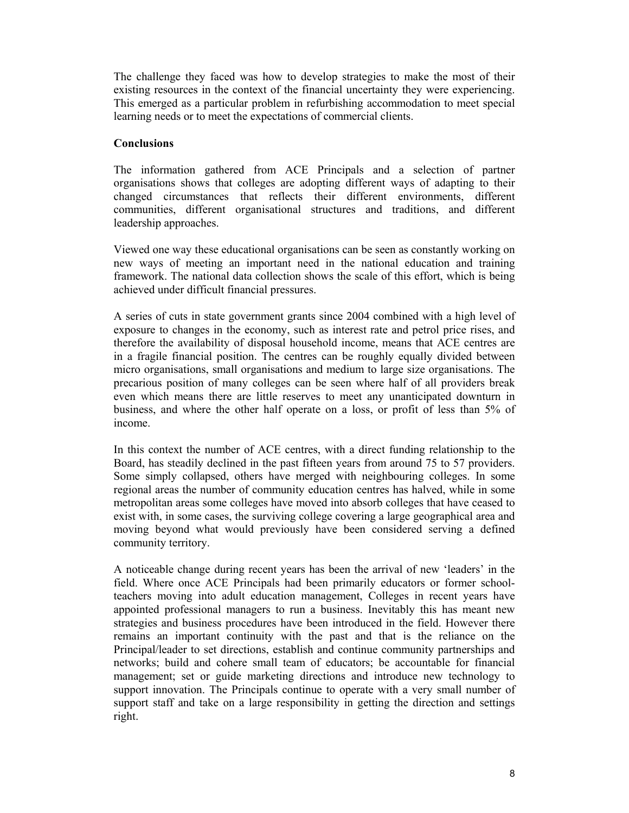The challenge they faced was how to develop strategies to make the most of their existing resources in the context of the financial uncertainty they were experiencing. This emerged as a particular problem in refurbishing accommodation to meet special learning needs or to meet the expectations of commercial clients.

## **Conclusions**

The information gathered from ACE Principals and a selection of partner organisations shows that colleges are adopting different ways of adapting to their changed circumstances that reflects their different environments, different communities, different organisational structures and traditions, and different leadership approaches.

Viewed one way these educational organisations can be seen as constantly working on new ways of meeting an important need in the national education and training framework. The national data collection shows the scale of this effort, which is being achieved under difficult financial pressures.

A series of cuts in state government grants since 2004 combined with a high level of exposure to changes in the economy, such as interest rate and petrol price rises, and therefore the availability of disposal household income, means that ACE centres are in a fragile financial position. The centres can be roughly equally divided between micro organisations, small organisations and medium to large size organisations. The precarious position of many colleges can be seen where half of all providers break even which means there are little reserves to meet any unanticipated downturn in business, and where the other half operate on a loss, or profit of less than 5% of income.

In this context the number of ACE centres, with a direct funding relationship to the Board, has steadily declined in the past fifteen years from around 75 to 57 providers. Some simply collapsed, others have merged with neighbouring colleges. In some regional areas the number of community education centres has halved, while in some metropolitan areas some colleges have moved into absorb colleges that have ceased to exist with, in some cases, the surviving college covering a large geographical area and moving beyond what would previously have been considered serving a defined community territory.

A noticeable change during recent years has been the arrival of new 'leaders' in the field. Where once ACE Principals had been primarily educators or former schoolteachers moving into adult education management, Colleges in recent years have appointed professional managers to run a business. Inevitably this has meant new strategies and business procedures have been introduced in the field. However there remains an important continuity with the past and that is the reliance on the Principal/leader to set directions, establish and continue community partnerships and networks; build and cohere small team of educators; be accountable for financial management; set or guide marketing directions and introduce new technology to support innovation. The Principals continue to operate with a very small number of support staff and take on a large responsibility in getting the direction and settings right.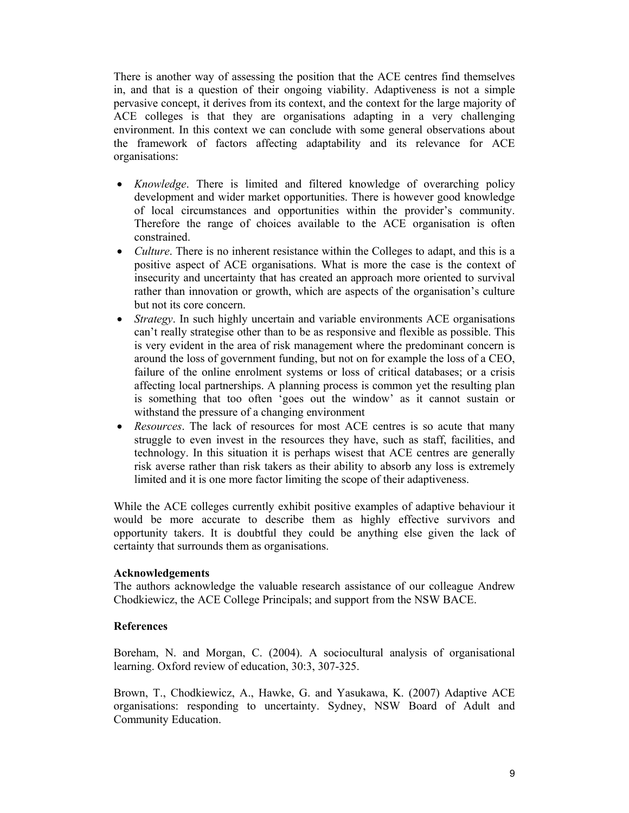There is another way of assessing the position that the ACE centres find themselves in, and that is a question of their ongoing viability. Adaptiveness is not a simple pervasive concept, it derives from its context, and the context for the large majority of ACE colleges is that they are organisations adapting in a very challenging environment. In this context we can conclude with some general observations about the framework of factors affecting adaptability and its relevance for ACE organisations:

- *Knowledge*. There is limited and filtered knowledge of overarching policy development and wider market opportunities. There is however good knowledge of local circumstances and opportunities within the provider's community. Therefore the range of choices available to the ACE organisation is often constrained.
- *Culture*. There is no inherent resistance within the Colleges to adapt, and this is a positive aspect of ACE organisations. What is more the case is the context of insecurity and uncertainty that has created an approach more oriented to survival rather than innovation or growth, which are aspects of the organisation's culture but not its core concern.
- *Strategy*. In such highly uncertain and variable environments ACE organisations can't really strategise other than to be as responsive and flexible as possible. This is very evident in the area of risk management where the predominant concern is around the loss of government funding, but not on for example the loss of a CEO, failure of the online enrolment systems or loss of critical databases; or a crisis affecting local partnerships. A planning process is common yet the resulting plan is something that too often 'goes out the window' as it cannot sustain or withstand the pressure of a changing environment
- *Resources*. The lack of resources for most ACE centres is so acute that many struggle to even invest in the resources they have, such as staff, facilities, and technology. In this situation it is perhaps wisest that ACE centres are generally risk averse rather than risk takers as their ability to absorb any loss is extremely limited and it is one more factor limiting the scope of their adaptiveness.

While the ACE colleges currently exhibit positive examples of adaptive behaviour it would be more accurate to describe them as highly effective survivors and opportunity takers. It is doubtful they could be anything else given the lack of certainty that surrounds them as organisations.

## **Acknowledgements**

The authors acknowledge the valuable research assistance of our colleague Andrew Chodkiewicz, the ACE College Principals; and support from the NSW BACE.

# **References**

Boreham, N. and Morgan, C. (2004). A sociocultural analysis of organisational learning. Oxford review of education, 30:3, 307-325.

Brown, T., Chodkiewicz, A., Hawke, G. and Yasukawa, K. (2007) Adaptive ACE organisations: responding to uncertainty. Sydney, NSW Board of Adult and Community Education.